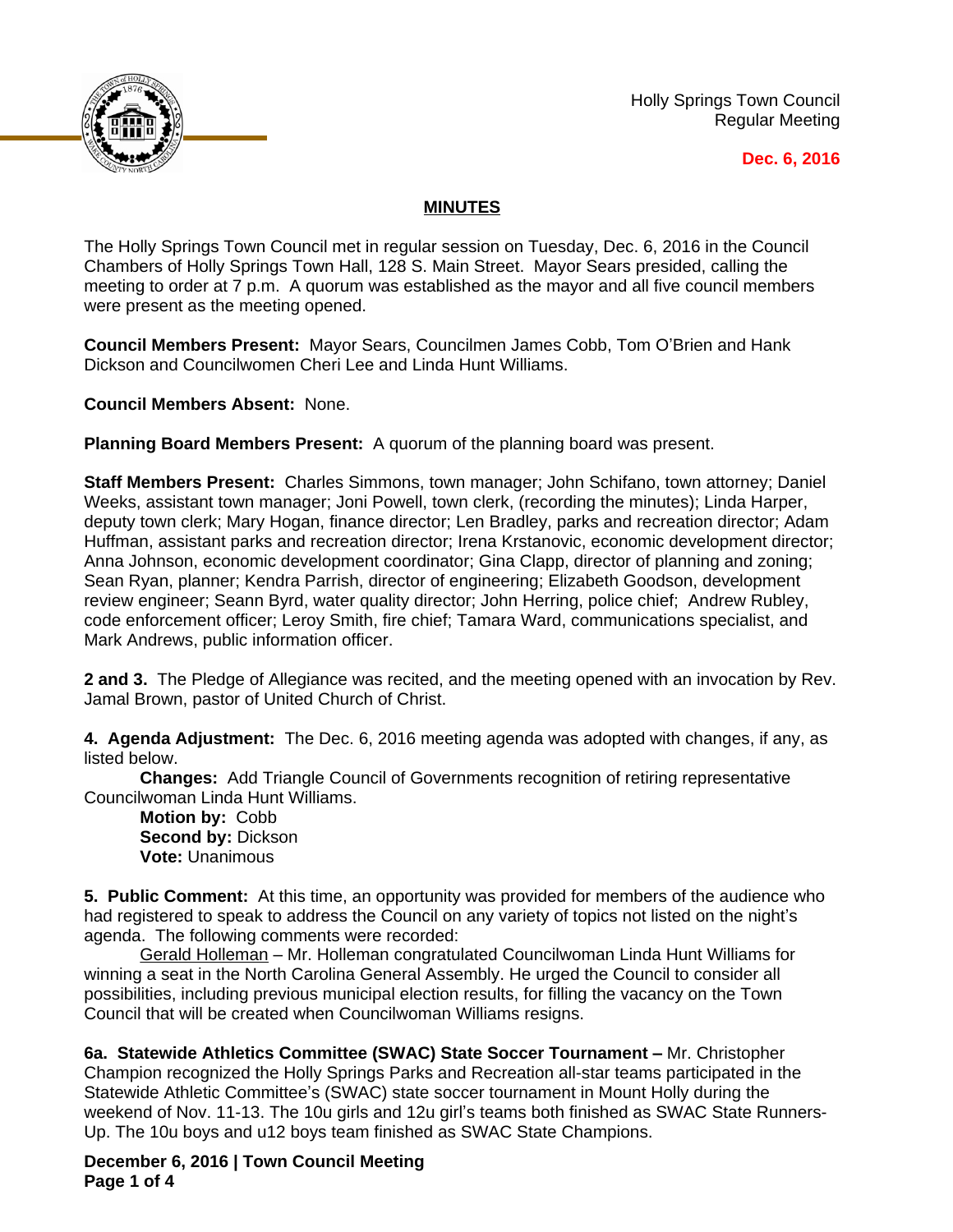

Holly Springs Town Council Regular Meeting

## **Dec. 6, 2016**

## **MINUTES**

The Holly Springs Town Council met in regular session on Tuesday, Dec. 6, 2016 in the Council Chambers of Holly Springs Town Hall, 128 S. Main Street. Mayor Sears presided, calling the meeting to order at 7 p.m. A quorum was established as the mayor and all five council members were present as the meeting opened.

**Council Members Present:** Mayor Sears, Councilmen James Cobb, Tom O'Brien and Hank Dickson and Councilwomen Cheri Lee and Linda Hunt Williams.

**Council Members Absent:** None.

**Planning Board Members Present:** A quorum of the planning board was present.

**Staff Members Present:** Charles Simmons, town manager; John Schifano, town attorney; Daniel Weeks, assistant town manager; Joni Powell, town clerk, (recording the minutes); Linda Harper, deputy town clerk; Mary Hogan, finance director; Len Bradley, parks and recreation director; Adam Huffman, assistant parks and recreation director; Irena Krstanovic, economic development director; Anna Johnson, economic development coordinator; Gina Clapp, director of planning and zoning; Sean Ryan, planner; Kendra Parrish, director of engineering; Elizabeth Goodson, development review engineer; Seann Byrd, water quality director; John Herring, police chief; Andrew Rubley, code enforcement officer; Leroy Smith, fire chief; Tamara Ward, communications specialist, and Mark Andrews, public information officer.

**2 and 3.** The Pledge of Allegiance was recited, and the meeting opened with an invocation by Rev. Jamal Brown, pastor of United Church of Christ.

**4. Agenda Adjustment:** The Dec. 6, 2016 meeting agenda was adopted with changes, if any, as listed below.

**Changes:** Add Triangle Council of Governments recognition of retiring representative Councilwoman Linda Hunt Williams.

**Motion by:** Cobb **Second by:** Dickson **Vote:** Unanimous

**5. Public Comment:** At this time, an opportunity was provided for members of the audience who had registered to speak to address the Council on any variety of topics not listed on the night's agenda. The following comments were recorded:

Gerald Holleman – Mr. Holleman congratulated Councilwoman Linda Hunt Williams for winning a seat in the North Carolina General Assembly. He urged the Council to consider all possibilities, including previous municipal election results, for filling the vacancy on the Town Council that will be created when Councilwoman Williams resigns.

**6a. Statewide Athletics Committee (SWAC) State Soccer Tournament –** Mr. Christopher Champion recognized the Holly Springs Parks and Recreation all-star teams participated in the Statewide Athletic Committee's (SWAC) state soccer tournament in Mount Holly during the weekend of Nov. 11-13. The 10u girls and 12u girl's teams both finished as SWAC State Runners-Up. The 10u boys and u12 boys team finished as SWAC State Champions.

**December 6, 2016 | Town Council Meeting Page 1 of 4**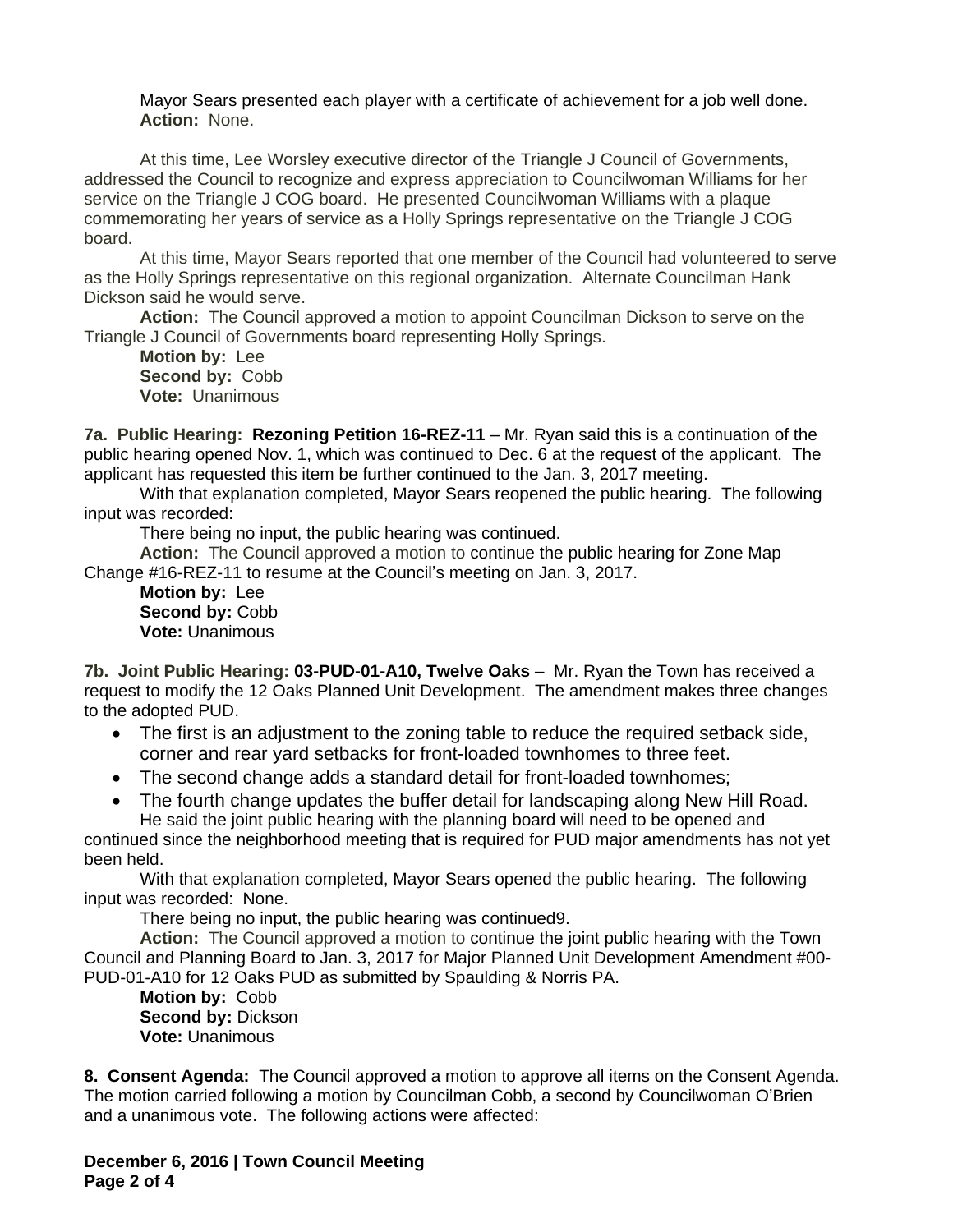Mayor Sears presented each player with a certificate of achievement for a job well done. **Action:** None.

At this time, Lee Worsley executive director of the Triangle J Council of Governments, addressed the Council to recognize and express appreciation to Councilwoman Williams for her service on the Triangle J COG board. He presented Councilwoman Williams with a plaque commemorating her years of service as a Holly Springs representative on the Triangle J COG board.

At this time, Mayor Sears reported that one member of the Council had volunteered to serve as the Holly Springs representative on this regional organization. Alternate Councilman Hank Dickson said he would serve.

**Action:** The Council approved a motion to appoint Councilman Dickson to serve on the Triangle J Council of Governments board representing Holly Springs.

**Motion by:** Lee **Second by:** Cobb **Vote:** Unanimous

**7a. Public Hearing: Rezoning Petition 16-REZ-11** – Mr. Ryan said this is a continuation of the public hearing opened Nov. 1, which was continued to Dec. 6 at the request of the applicant. The applicant has requested this item be further continued to the Jan. 3, 2017 meeting.

With that explanation completed, Mayor Sears reopened the public hearing. The following input was recorded:

There being no input, the public hearing was continued.

**Action:** The Council approved a motion to continue the public hearing for Zone Map Change #16-REZ-11 to resume at the Council's meeting on Jan. 3, 2017.

**Motion by:** Lee Second by: Cobb **Vote:** Unanimous

**7b. Joint Public Hearing: 03-PUD-01-A10, Twelve Oaks** – Mr. Ryan the Town has received a request to modify the 12 Oaks Planned Unit Development. The amendment makes three changes to the adopted PUD.

- The first is an adjustment to the zoning table to reduce the required setback side, corner and rear yard setbacks for front-loaded townhomes to three feet.
- The second change adds a standard detail for front-loaded townhomes;
- The fourth change updates the buffer detail for landscaping along New Hill Road. He said the joint public hearing with the planning board will need to be opened and

continued since the neighborhood meeting that is required for PUD major amendments has not yet been held.

With that explanation completed, Mayor Sears opened the public hearing. The following input was recorded: None.

There being no input, the public hearing was continued9.

**Action:** The Council approved a motion to continue the joint public hearing with the Town Council and Planning Board to Jan. 3, 2017 for Major Planned Unit Development Amendment #00- PUD-01-A10 for 12 Oaks PUD as submitted by Spaulding & Norris PA.

**Motion by:** Cobb **Second by: Dickson Vote:** Unanimous

**8. Consent Agenda:** The Council approved a motion to approve all items on the Consent Agenda. The motion carried following a motion by Councilman Cobb, a second by Councilwoman O'Brien and a unanimous vote. The following actions were affected:

**December 6, 2016 | Town Council Meeting Page 2 of 4**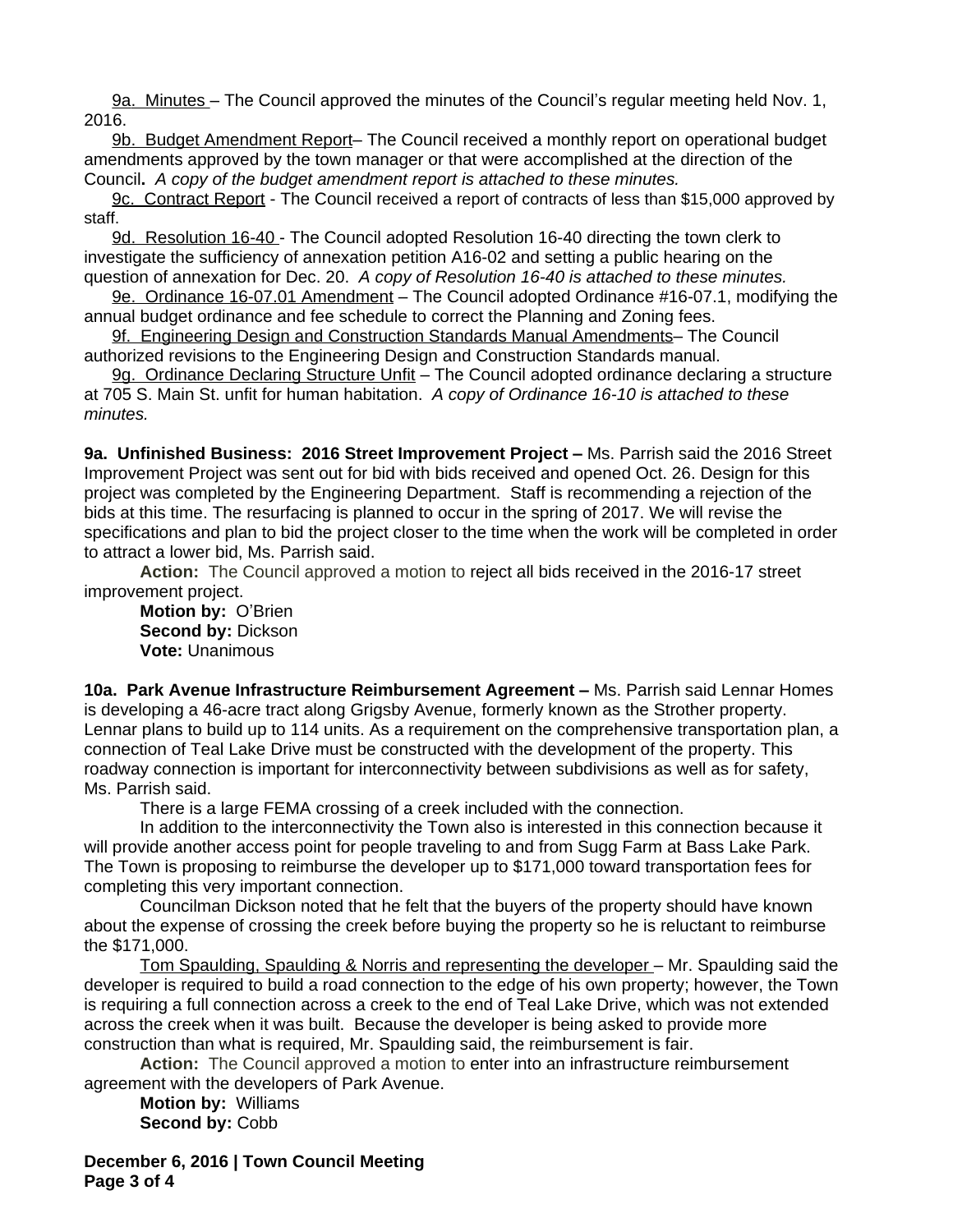9a. Minutes – The Council approved the minutes of the Council's regular meeting held Nov. 1, 2016.

9b. Budget Amendment Report– The Council received a monthly report on operational budget amendments approved by the town manager or that were accomplished at the direction of the Council**.** *A copy of the budget amendment report is attached to these minutes.*

9c. Contract Report - The Council received a report of contracts of less than \$15,000 approved by staff.

9d. Resolution 16-40 - The Council adopted Resolution 16-40 directing the town clerk to investigate the sufficiency of annexation petition A16-02 and setting a public hearing on the question of annexation for Dec. 20. *A copy of Resolution 16-40 is attached to these minutes.*

9e. Ordinance 16-07.01 Amendment – The Council adopted Ordinance #16-07.1, modifying the annual budget ordinance and fee schedule to correct the Planning and Zoning fees.

9f. Engineering Design and Construction Standards Manual Amendments– The Council authorized revisions to the Engineering Design and Construction Standards manual.

9g. Ordinance Declaring Structure Unfit - The Council adopted ordinance declaring a structure at 705 S. Main St. unfit for human habitation. *A copy of Ordinance 16-10 is attached to these minutes.*

9a. Unfinished Business: 2016 Street Improvement Project - Ms. Parrish said the 2016 Street Improvement Project was sent out for bid with bids received and opened Oct. 26. Design for this project was completed by the Engineering Department. Staff is recommending a rejection of the bids at this time. The resurfacing is planned to occur in the spring of 2017. We will revise the specifications and plan to bid the project closer to the time when the work will be completed in order to attract a lower bid, Ms. Parrish said.

**Action:** The Council approved a motion to reject all bids received in the 2016-17 street improvement project.

**Motion by:** O'Brien **Second by:** Dickson **Vote:** Unanimous

**10a. Park Avenue Infrastructure Reimbursement Agreement –** Ms. Parrish said Lennar Homes is developing a 46-acre tract along Grigsby Avenue, formerly known as the Strother property. Lennar plans to build up to 114 units. As a requirement on the comprehensive transportation plan, a connection of Teal Lake Drive must be constructed with the development of the property. This roadway connection is important for interconnectivity between subdivisions as well as for safety, Ms. Parrish said.

There is a large FEMA crossing of a creek included with the connection.

In addition to the interconnectivity the Town also is interested in this connection because it will provide another access point for people traveling to and from Sugg Farm at Bass Lake Park. The Town is proposing to reimburse the developer up to \$171,000 toward transportation fees for completing this very important connection.

Councilman Dickson noted that he felt that the buyers of the property should have known about the expense of crossing the creek before buying the property so he is reluctant to reimburse the \$171,000.

Tom Spaulding, Spaulding & Norris and representing the developer – Mr. Spaulding said the developer is required to build a road connection to the edge of his own property; however, the Town is requiring a full connection across a creek to the end of Teal Lake Drive, which was not extended across the creek when it was built. Because the developer is being asked to provide more construction than what is required, Mr. Spaulding said, the reimbursement is fair.

**Action:** The Council approved a motion to enter into an infrastructure reimbursement agreement with the developers of Park Avenue.

**Motion by:** Williams **Second by:** Cobb

**December 6, 2016 | Town Council Meeting Page 3 of 4**